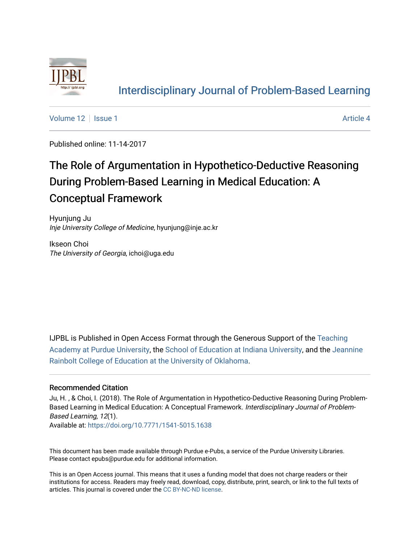

#### [Interdisciplinary Journal of Problem-Based Learning](https://docs.lib.purdue.edu/ijpbl)

[Volume 12](https://docs.lib.purdue.edu/ijpbl/vol12) Setup 1 Article 4

Published online: 11-14-2017

# The Role of Argumentation in Hypothetico-Deductive Reasoning During Problem-Based Learning in Medical Education: A Conceptual Framework

Hyunjung Ju Inje University College of Medicine, hyunjung@inje.ac.kr

Ikseon Choi The University of Georgia, ichoi@uga.edu

IJPBL is Published in Open Access Format through the Generous Support of the [Teaching](https://www.purdue.edu/cie/aboutus/teachingacademy.html) [Academy at Purdue University](https://www.purdue.edu/cie/aboutus/teachingacademy.html), the [School of Education at Indiana University,](https://education.indiana.edu/index.html) and the [Jeannine](http://ou.edu/education) [Rainbolt College of Education at the University of Oklahoma](http://ou.edu/education).

#### Recommended Citation

Ju, H. , & Choi, I. (2018). The Role of Argumentation in Hypothetico-Deductive Reasoning During Problem-Based Learning in Medical Education: A Conceptual Framework. Interdisciplinary Journal of Problem-Based Learning, 12(1).

Available at:<https://doi.org/10.7771/1541-5015.1638>

This document has been made available through Purdue e-Pubs, a service of the Purdue University Libraries. Please contact epubs@purdue.edu for additional information.

This is an Open Access journal. This means that it uses a funding model that does not charge readers or their institutions for access. Readers may freely read, download, copy, distribute, print, search, or link to the full texts of articles. This journal is covered under the [CC BY-NC-ND license](https://creativecommons.org/licenses/by-nc-nd/4.0/).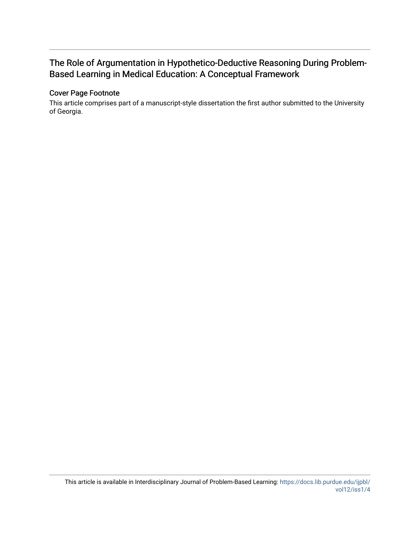#### The Role of Argumentation in Hypothetico-Deductive Reasoning During Problem-Based Learning in Medical Education: A Conceptual Framework

#### Cover Page Footnote

This article comprises part of a manuscript-style dissertation the first author submitted to the University of Georgia.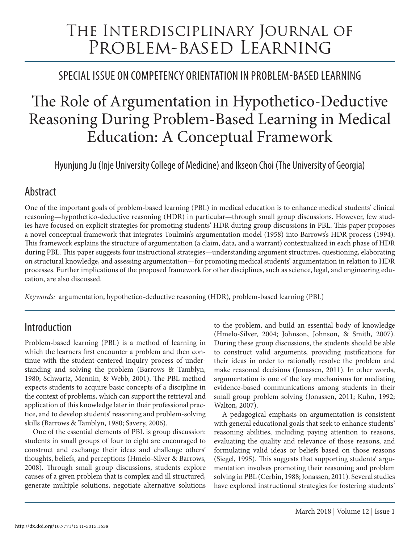# The Interdisciplinary Journal of PROBLEM-BASED LEARNING

# Special Issue On Competency Orientation in Problem-BasED Learning

# The Role of Argumentation in Hypothetico-Deductive Reasoning During Problem-Based Learning in Medical Education: A Conceptual Framework

Hyunjung Ju (Inje University College of Medicine) and Ikseon Choi (The University of Georgia)

# Abstract

One of the important goals of problem-based learning (PBL) in medical education is to enhance medical students' clinical reasoning—hypothetico-deductive reasoning (HDR) in particular—through small group discussions. However, few studies have focused on explicit strategies for promoting students' HDR during group discussions in PBL. This paper proposes a novel conceptual framework that integrates Toulmin's argumentation model (1958) into Barrows's HDR process (1994). This framework explains the structure of argumentation (a claim, data, and a warrant) contextualized in each phase of HDR during PBL. This paper suggests four instructional strategies—understanding argument structures, questioning, elaborating on structural knowledge, and assessing argumentation—for promoting medical students' argumentation in relation to HDR processes. Further implications of the proposed framework for other disciplines, such as science, legal, and engineering education, are also discussed.

*Keywords:* argumentation, hypothetico-deductive reasoning (HDR), problem-based learning (PBL)

# Introduction

Problem-based learning (PBL) is a method of learning in which the learners first encounter a problem and then continue with the student-centered inquiry process of understanding and solving the problem (Barrows & Tamblyn, 1980; Schwartz, Mennin, & Webb, 2001). The PBL method expects students to acquire basic concepts of a discipline in the context of problems, which can support the retrieval and application of this knowledge later in their professional practice, and to develop students' reasoning and problem-solving skills (Barrows & Tamblyn, 1980; Savery, 2006).

One of the essential elements of PBL is group discussion: students in small groups of four to eight are encouraged to construct and exchange their ideas and challenge others' thoughts, beliefs, and perceptions (Hmelo-Silver & Barrows, 2008). Through small group discussions, students explore causes of a given problem that is complex and ill structured, generate multiple solutions, negotiate alternative solutions

to the problem, and build an essential body of knowledge (Hmelo-Silver, 2004; Johnson, Johnson, & Smith, 2007). During these group discussions, the students should be able to construct valid arguments, providing justifications for their ideas in order to rationally resolve the problem and make reasoned decisions (Jonassen, 2011). In other words, argumentation is one of the key mechanisms for mediating evidence-based communications among students in their small group problem solving (Jonassen, 2011; Kuhn, 1992; Walton, 2007).

A pedagogical emphasis on argumentation is consistent with general educational goals that seek to enhance students' reasoning abilities, including paying attention to reasons, evaluating the quality and relevance of those reasons, and formulating valid ideas or beliefs based on those reasons (Siegel, 1995). This suggests that supporting students' argumentation involves promoting their reasoning and problem solving in PBL (Cerbin, 1988; Jonassen, 2011). Several studies have explored instructional strategies for fostering students'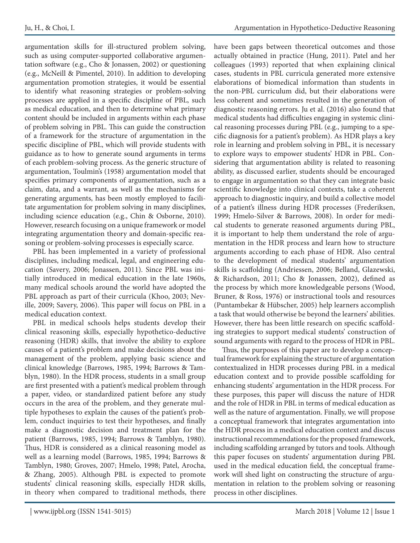argumentation skills for ill-structured problem solving, such as using computer-supported collaborative argumentation software (e.g., Cho & Jonassen, 2002) or questioning (e.g., McNeill & Pimentel, 2010). In addition to developing argumentation promotion strategies, it would be essential to identify what reasoning strategies or problem-solving processes are applied in a specific discipline of PBL, such as medical education, and then to determine what primary content should be included in arguments within each phase of problem solving in PBL. This can guide the construction of a framework for the structure of argumentation in the specific discipline of PBL, which will provide students with guidance as to how to generate sound arguments in terms of each problem-solving process. As the generic structure of argumentation, Toulmin's (1958) argumentation model that specifies primary components of argumentation, such as a claim, data, and a warrant, as well as the mechanisms for generating arguments, has been mostly employed to facilitate argumentation for problem solving in many disciplines, including science education (e.g., Chin & Osborne, 2010). However, research focusing on a unique framework or model integrating argumentation theory and domain-specific reasoning or problem-solving processes is especially scarce.

PBL has been implemented in a variety of professional disciplines, including medical, legal, and engineering education (Savery, 2006; Jonassen, 2011). Since PBL was initially introduced in medical education in the late 1960s, many medical schools around the world have adopted the PBL approach as part of their curricula (Khoo, 2003; Neville, 2009; Savery, 2006). This paper will focus on PBL in a medical education context.

PBL in medical schools helps students develop their clinical reasoning skills, especially hypothetico-deductive reasoning (HDR) skills, that involve the ability to explore causes of a patient's problem and make decisions about the management of the problem, applying basic science and clinical knowledge (Barrows, 1985, 1994; Barrows & Tamblyn, 1980). In the HDR process, students in a small group are first presented with a patient's medical problem through a paper, video, or standardized patient before any study occurs in the area of the problem, and they generate multiple hypotheses to explain the causes of the patient's problem, conduct inquiries to test their hypotheses, and finally make a diagnostic decision and treatment plan for the patient (Barrows, 1985, 1994; Barrows & Tamblyn, 1980). Thus, HDR is considered as a clinical reasoning model as well as a learning model (Barrows, 1985, 1994; Barrows & Tamblyn, 1980; Groves, 2007; Hmelo, 1998; Patel, Arocha, & Zhang, 2005). Although PBL is expected to promote students' clinical reasoning skills, especially HDR skills, in theory when compared to traditional methods, there

have been gaps between theoretical outcomes and those actually obtained in practice (Hung, 2011). Patel and her colleagues (1993) reported that when explaining clinical cases, students in PBL curricula generated more extensive elaborations of biomedical information than students in the non-PBL curriculum did, but their elaborations were less coherent and sometimes resulted in the generation of diagnostic reasoning errors. Ju et al. (2016) also found that medical students had difficulties engaging in systemic clinical reasoning processes during PBL (e.g., jumping to a specific diagnosis for a patient's problem). As HDR plays a key role in learning and problem solving in PBL, it is necessary to explore ways to empower students' HDR in PBL. Considering that argumentation ability is related to reasoning ability, as discussed earlier, students should be encouraged to engage in argumentation so that they can integrate basic scientific knowledge into clinical contexts, take a coherent approach to diagnostic inquiry, and build a collective model of a patient's illness during HDR processes (Frederiksen, 1999; Hmelo-Silver & Barrows, 2008). In order for medical students to generate reasoned arguments during PBL, it is important to help them understand the role of argumentation in the HDR process and learn how to structure arguments according to each phase of HDR. Also central to the development of medical students' argumentation skills is scaffolding (Andriessen, 2006; Belland, Glazewski, & Richardson, 2011; Cho & Jonassen, 2002), defined as the process by which more knowledgeable persons (Wood, Bruner, & Ross, 1976) or instructional tools and resources (Puntambekar & Hübscher, 2005) help learners accomplish a task that would otherwise be beyond the learners' abilities. However, there has been little research on specific scaffolding strategies to support medical students' construction of sound arguments with regard to the process of HDR in PBL.

Thus, the purposes of this paper are to develop a conceptual framework for explaining the structure of argumentation contextualized in HDR processes during PBL in a medical education context and to provide possible scaffolding for enhancing students' argumentation in the HDR process. For these purposes, this paper will discuss the nature of HDR and the role of HDR in PBL in terms of medical education as well as the nature of argumentation. Finally, we will propose a conceptual framework that integrates argumentation into the HDR process in a medical education context and discuss instructional recommendations for the proposed framework, including scaffolding arranged by tutors and tools. Although this paper focuses on students' argumentation during PBL used in the medical education field, the conceptual framework will shed light on constructing the structure of argumentation in relation to the problem solving or reasoning process in other disciplines.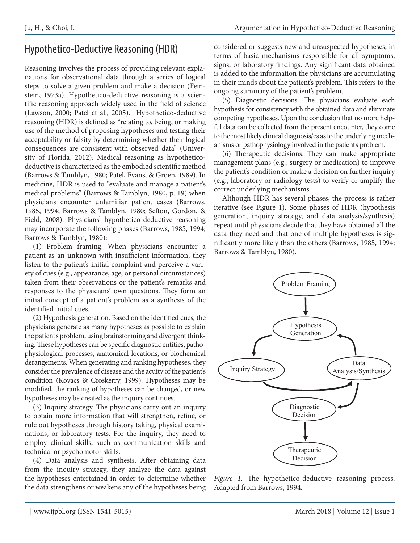# Hypothetico-Deductive Reasoning (HDR)

Reasoning involves the process of providing relevant explanations for observational data through a series of logical steps to solve a given problem and make a decision (Feinstein, 1973a). Hypothetico-deductive reasoning is a scientific reasoning approach widely used in the field of science (Lawson, 2000; Patel et al., 2005). Hypothetico-deductive reasoning (HDR) is defined as "relating to, being, or making use of the method of proposing hypotheses and testing their acceptability or falsity by determining whether their logical consequences are consistent with observed data" (University of Florida, 2012). Medical reasoning as hypotheticodeductive is characterized as the embodied scientific method (Barrows & Tamblyn, 1980; Patel, Evans, & Groen, 1989). In medicine, HDR is used to "evaluate and manage a patient's medical problems" (Barrows & Tamblyn, 1980, p. 19) when physicians encounter unfamiliar patient cases (Barrows, 1985, 1994; Barrows & Tamblyn, 1980; Sefton, Gordon, & Field, 2008). Physicians' hypothetico-deductive reasoning may incorporate the following phases (Barrows, 1985, 1994; Barrows & Tamblyn, 1980):

(1) Problem framing. When physicians encounter a patient as an unknown with insufficient information, they listen to the patient's initial complaint and perceive a variety of cues (e.g., appearance, age, or personal circumstances) taken from their observations or the patient's remarks and responses to the physicians' own questions. They form an initial concept of a patient's problem as a synthesis of the identified initial cues.

(2) Hypothesis generation. Based on the identified cues, the physicians generate as many hypotheses as possible to explain the patient's problem, using brainstorming and divergent thinking. These hypotheses can be specific diagnostic entities, pathophysiological processes, anatomical locations, or biochemical derangements. When generating and ranking hypotheses, they consider the prevalence of disease and the acuity of the patient's condition (Kovacs & Croskerry, 1999). Hypotheses may be modified, the ranking of hypotheses can be changed, or new hypotheses may be created as the inquiry continues.

(3) Inquiry strategy. The physicians carry out an inquiry to obtain more information that will strengthen, refine, or rule out hypotheses through history taking, physical examinations, or laboratory tests. For the inquiry, they need to employ clinical skills, such as communication skills and technical or psychomotor skills.

(4) Data analysis and synthesis. After obtaining data from the inquiry strategy, they analyze the data against the hypotheses entertained in order to determine whether the data strengthens or weakens any of the hypotheses being considered or suggests new and unsuspected hypotheses, in terms of basic mechanisms responsible for all symptoms, signs, or laboratory findings. Any significant data obtained is added to the information the physicians are accumulating in their minds about the patient's problem. This refers to the ongoing summary of the patient's problem.

(5) Diagnostic decisions. The physicians evaluate each hypothesis for consistency with the obtained data and eliminate competing hypotheses. Upon the conclusion that no more helpful data can be collected from the present encounter, they come to the most likely clinical diagnosis/es as to the underlying mechanisms or pathophysiology involved in the patient's problem.

(6) Therapeutic decisions. They can make appropriate management plans (e.g., surgery or medication) to improve the patient's condition or make a decision on further inquiry (e.g., laboratory or radiology tests) to verify or amplify the correct underlying mechanisms.

Although HDR has several phases, the process is rather iterative (see Figure 1). Some phases of HDR (hypothesis generation, inquiry strategy, and data analysis/synthesis) repeat until physicians decide that they have obtained all the data they need and that one of multiple hypotheses is significantly more likely than the others (Barrows, 1985, 1994; Barrows & Tamblyn, 1980).



ypotheses being Adapted from Barrows, 1994. Figure 1. The hypothetico-deductive reasoning process.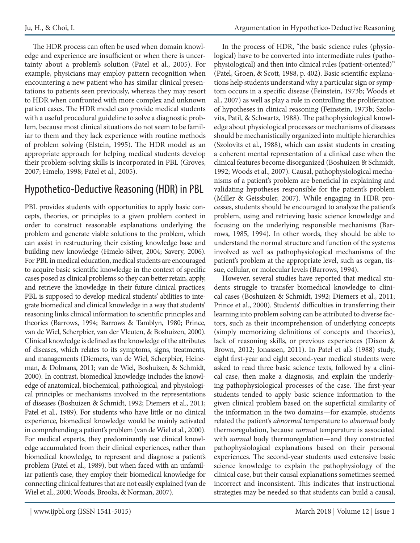The HDR process can often be used when domain knowledge and experience are insufficient or when there is uncertainty about a problem's solution (Patel et al., 2005). For example, physicians may employ pattern recognition when encountering a new patient who has similar clinical presentations to patients seen previously, whereas they may resort to HDR when confronted with more complex and unknown patient cases. The HDR model can provide medical students with a useful procedural guideline to solve a diagnostic problem, because most clinical situations do not seem to be familiar to them and they lack experience with routine methods of problem solving (Elstein, 1995). The HDR model as an appropriate approach for helping medical students develop their problem-solving skills is incorporated in PBL (Groves, 2007; Hmelo, 1998; Patel et al., 2005).

# Hypothetico-Deductive Reasoning (HDR) in PBL

PBL provides students with opportunities to apply basic concepts, theories, or principles to a given problem context in order to construct reasonable explanations underlying the problem and generate viable solutions to the problem, which can assist in restructuring their existing knowledge base and building new knowledge (Hmelo-Silver, 2004; Savery, 2006). For PBL in medical education, medical students are encouraged to acquire basic scientific knowledge in the context of specific cases posed as clinical problems so they can better retain, apply, and retrieve the knowledge in their future clinical practices; PBL is supposed to develop medical students' abilities to integrate biomedical and clinical knowledge in a way that students' reasoning links clinical information to scientific principles and theories (Barrows, 1994; Barrows & Tamblyn, 1980; Prince, van de Wiel, Scherpbier, van der Vleuten, & Boshuizen, 2000). Clinical knowledge is defined as the knowledge of the attributes of diseases, which relates to its symptoms, signs, treatments, and managements (Diemers, van de Wiel, Scherpbier, Heineman, & Dolmans, 2011; van de Wiel, Boshuizen, & Schmidt, 2000). In contrast, biomedical knowledge includes the knowledge of anatomical, biochemical, pathological, and physiological principles or mechanisms involved in the representations of diseases (Boshuizen & Schmidt, 1992; Diemers et al., 2011; Patel et al., 1989). For students who have little or no clinical experience, biomedical knowledge would be mainly activated in comprehending a patient's problem (van de Wiel et al., 2000). For medical experts, they predominantly use clinical knowledge accumulated from their clinical experiences, rather than biomedical knowledge, to represent and diagnose a patient's problem (Patel et al., 1989), but when faced with an unfamiliar patient's case, they employ their biomedical knowledge for connecting clinical features that are not easily explained (van de Wiel et al., 2000; Woods, Brooks, & Norman, 2007).

In the process of HDR, "the basic science rules (physiological) have to be converted into intermediate rules (pathophysiological) and then into clinical rules (patient-oriented)" (Patel, Groen, & Scott, 1988, p. 402). Basic scientific explanations help students understand why a particular sign or symptom occurs in a specific disease (Feinstein, 1973b; Woods et al., 2007) as well as play a role in controlling the proliferation of hypotheses in clinical reasoning (Feinstein, 1973b; Szolovits, Patil, & Schwartz, 1988). The pathophysiological knowledge about physiological processes or mechanisms of diseases should be mechanistically organized into multiple hierarchies (Szolovits et al., 1988), which can assist students in creating a coherent mental representation of a clinical case when the clinical features become disorganized (Boshuizen & Schmidt, 1992; Woods et al., 2007). Causal, pathophysiological mechanisms of a patient's problem are beneficial in explaining and validating hypotheses responsible for the patient's problem (Miller & Geissbuler, 2007). While engaging in HDR processes, students should be encouraged to analyze the patient's problem, using and retrieving basic science knowledge and focusing on the underlying responsible mechanisms (Barrows, 1985, 1994). In other words, they should be able to understand the normal structure and function of the systems involved as well as pathophysiological mechanisms of the patient's problem at the appropriate level, such as organ, tissue, cellular, or molecular levels (Barrows, 1994).

However, several studies have reported that medical students struggle to transfer biomedical knowledge to clinical cases (Boshuizen & Schmidt, 1992; Diemers et al., 2011; Prince et al., 2000). Students' difficulties in transferring their learning into problem solving can be attributed to diverse factors, such as their incomprehension of underlying concepts (simply memorizing definitions of concepts and theories), lack of reasoning skills, or previous experiences (Dixon & Brown, 2012; Jonassen, 2011). In Patel et al.'s (1988) study, eight first-year and eight second-year medical students were asked to read three basic science texts, followed by a clinical case, then make a diagnosis, and explain the underlying pathophysiological processes of the case. The first-year students tended to apply basic science information to the given clinical problem based on the superficial similarity of the information in the two domains—for example, students related the patient's *abnormal* temperature to *abnormal* body thermoregulation, because *normal* temperature is associated with *normal* body thermoregulation—and they constructed pathophysiological explanations based on their personal experiences. The second-year students used extensive basic science knowledge to explain the pathophysiology of the clinical case, but their causal explanations sometimes seemed incorrect and inconsistent. This indicates that instructional strategies may be needed so that students can build a causal,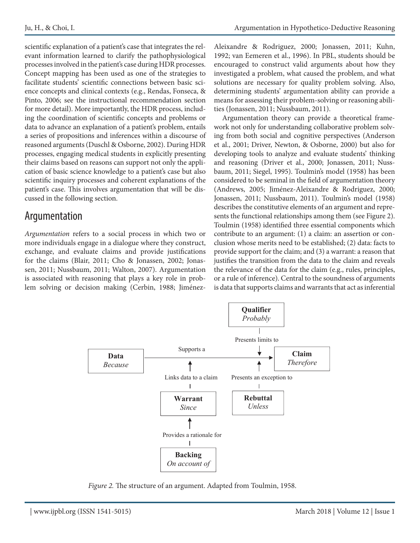scientific explanation of a patient's case that integrates the relevant information learned to clarify the pathophysiological processes involved in the patient's case during HDR processes. Concept mapping has been used as one of the strategies to facilitate students' scientific connections between basic science concepts and clinical contexts (e.g., Rendas, Fonseca, & Pinto, 2006; see the instructional recommendation section for more detail). More importantly, the HDR process, including the coordination of scientific concepts and problems or data to advance an explanation of a patient's problem, entails a series of propositions and inferences within a discourse of reasoned arguments (Duschl & Osborne, 2002). During HDR processes, engaging medical students in explicitly presenting their claims based on reasons can support not only the application of basic science knowledge to a patient's case but also scientific inquiry processes and coherent explanations of the patient's case. This involves argumentation that will be discussed in the following section.

# Argumentation

*Argumentation* refers to a social process in which two or more individuals engage in a dialogue where they construct, exchange, and evaluate claims and provide justifications for the claims (Blair, 2011; Cho & Jonassen, 2002; Jonassen, 2011; Nussbaum, 2011; Walton, 2007). Argumentation is associated with reasoning that plays a key role in problem solving or decision making (Cerbin, 1988; JiménezAleixandre & Rodriguez, 2000; Jonassen, 2011; Kuhn, 1992; van Eemeren et al., 1996). In PBL, students should be encouraged to construct valid arguments about how they investigated a problem, what caused the problem, and what solutions are necessary for quality problem solving. Also, determining students' argumentation ability can provide a means for assessing their problem-solving or reasoning abilities (Jonassen, 2011; Nussbaum, 2011).

Argumentation theory can provide a theoretical framework not only for understanding collaborative problem solving from both social and cognitive perspectives (Anderson et al., 2001; Driver, Newton, & Osborne, 2000) but also for developing tools to analyze and evaluate students' thinking and reasoning (Driver et al., 2000; Jonassen, 2011; Nussbaum, 2011; Siegel, 1995). Toulmin's model (1958) has been considered to be seminal in the field of argumentation theory (Andrews, 2005; Jiménez-Aleixandre & Rodriguez, 2000; Jonassen, 2011; Nussbaum, 2011). Toulmin's model (1958) describes the constitutive elements of an argument and represents the functional relationships among them (see Figure 2). Toulmin (1958) identified three essential components which contribute to an argument: (1) a claim: an assertion or conclusion whose merits need to be established; (2) data: facts to provide support for the claim; and (3) a warrant: a reason that justifies the transition from the data to the claim and reveals the relevance of the data for the claim (e.g., rules, principles, or a rule of inference). Central to the soundness of arguments is data that supports claims and warrants that act as inferential



Figure 2. The structure of an argument. Adapted from Toulmin, 1958.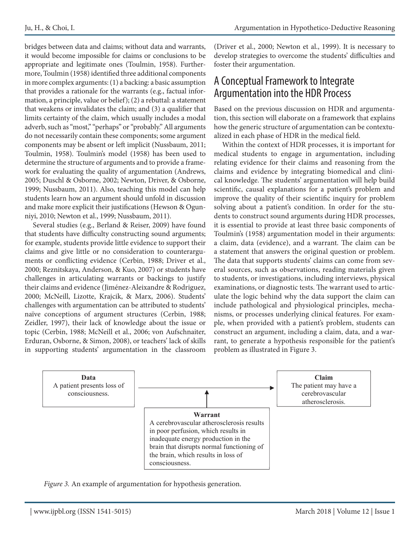bridges between data and claims; without data and warrants, it would become impossible for claims or conclusions to be appropriate and legitimate ones (Toulmin, 1958). Furthermore, Toulmin (1958) identified three additional components in more complex arguments: (1) a backing: a basic assumption that provides a rationale for the warrants (e.g., factual information, a principle, value or belief); (2) a rebuttal: a statement that weakens or invalidates the claim; and  $(3)$  a qualifier that limits certainty of the claim, which usually includes a modal adverb, such as "most," "perhaps" or "probably." All arguments do not necessarily contain these components; some argument components may be absent or left implicit (Nussbaum, 2011; Toulmin, 1958). Toulmin's model (1958) has been used to determine the structure of arguments and to provide a framework for evaluating the quality of argumentation (Andrews, 2005; Duschl & Osborne, 2002; Newton, Driver, & Osborne, 1999; Nussbaum, 2011). Also, teaching this model can help students learn how an argument should unfold in discussion and make more explicit their justifications (Hewson & Ogunniyi, 2010; Newton et al., 1999; Nussbaum, 2011).

Several studies (e.g., Berland & Reiser, 2009) have found that students have difficulty constructing sound arguments; for example, students provide little evidence to support their claims and give little or no consideration to counterarguments or conflicting evidence (Cerbin, 1988; Driver et al., 2000; Reznitskaya, Anderson, & Kuo, 2007) or students have challenges in articulating warrants or backings to justify their claims and evidence (Jiménez-Aleixandre & Rodriguez, 2000; McNeill, Lizotte, Krajcik, & Marx, 2006). Students' challenges with argumentation can be attributed to students' naïve conceptions of argument structures (Cerbin, 1988; Zeidler, 1997), their lack of knowledge about the issue or topic (Cerbin, 1988; McNeill et al., 2006; von Aufschnaiter, Erduran, Osborne, & Simon, 2008), or teachers' lack of skills in supporting students' argumentation in the classroom (Driver et al., 2000; Newton et al., 1999). It is necessary to develop strategies to overcome the students' difficulties and foster their argumentation.

#### A Conceptual Framework to Integrate Argumentation into the HDR Process

Based on the previous discussion on HDR and argumentation, this section will elaborate on a framework that explains how the generic structure of argumentation can be contextualized in each phase of HDR in the medical field.

Within the context of HDR processes, it is important for medical students to engage in argumentation, including relating evidence for their claims and reasoning from the claims and evidence by integrating biomedical and clinical knowledge. The students' argumentation will help build scientific, causal explanations for a patient's problem and improve the quality of their scientific inquiry for problem solving about a patient's condition. In order for the students to construct sound arguments during HDR processes, it is essential to provide at least three basic components of Toulmin's (1958) argumentation model in their arguments: a claim, data (evidence), and a warrant. The claim can be a statement that answers the original question or problem. The data that supports students' claims can come from several sources, such as observations, reading materials given to students, or investigations, including interviews, physical examinations, or diagnostic tests. The warrant used to articulate the logic behind why the data support the claim can include pathological and physiological principles, mechanisms, or processes underlying clinical features. For example, when provided with a patient's problem, students can construct an argument, including a claim, data, and a warrant, to generate a hypothesis responsible for the patient's problem as illustrated in Figure 3.



Figure 3. An example of argumentation for hypothesis generation. *Figure 3.* An example of argumentation for hypothesis generation.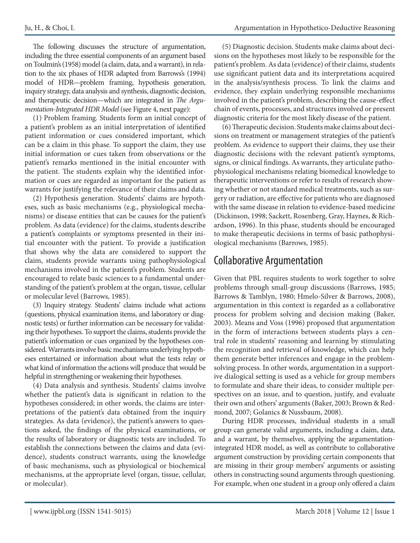The following discusses the structure of argumentation, including the three essential components of an argument based on Toulmin's (1958) model (a claim, data, and a warrant), in relation to the six phases of HDR adapted from Barrows's (1994) model of HDR—problem framing, hypothesis generation, inquiry strategy, data analysis and synthesis, diagnostic decision, and therapeutic decision—which are integrated in *The Argumentation-Integrated HDR Model* (see Figure 4, next page):

(1) Problem framing. Students form an initial concept of a patient's problem as an initial interpretation of identified patient information or cues considered important, which can be a claim in this phase. To support the claim, they use initial information or cues taken from observations or the patient's remarks mentioned in the initial encounter with the patient. The students explain why the identified information or cues are regarded as important for the patient as warrants for justifying the relevance of their claims and data.

(2) Hypothesis generation. Students' claims are hypotheses, such as basic mechanisms (e.g., physiological mechanisms) or disease entities that can be causes for the patient's problem. As data (evidence) for the claims, students describe a patient's complaints or symptoms presented in their initial encounter with the patient. To provide a justification that shows why the data are considered to support the claim, students provide warrants using pathophysiological mechanisms involved in the patient's problem. Students are encouraged to relate basic sciences to a fundamental understanding of the patient's problem at the organ, tissue, cellular or molecular level (Barrows, 1985).

(3) Inquiry strategy. Students' claims include what actions (questions, physical examination items, and laboratory or diagnostic tests) or further information can be necessary for validating their hypotheses. To support the claims, students provide the patient's information or cues organized by the hypotheses considered. Warrants involve basic mechanisms underlying hypotheses entertained or information about what the tests relay or what kind of information the actions will produce that would be helpful in strengthening or weakening their hypotheses.

(4) Data analysis and synthesis. Students' claims involve whether the patient's data is significant in relation to the hypotheses considered; in other words, the claims are interpretations of the patient's data obtained from the inquiry strategies. As data (evidence), the patient's answers to questions asked, the findings of the physical examinations, or the results of laboratory or diagnostic tests are included. To establish the connections between the claims and data (evidence), students construct warrants, using the knowledge of basic mechanisms, such as physiological or biochemical mechanisms, at the appropriate level (organ, tissue, cellular, or molecular).

(5) Diagnostic decision. Students make claims about decisions on the hypotheses most likely to be responsible for the patient's problem. As data (evidence) of their claims, students use significant patient data and its interpretations acquired in the analysis/synthesis process. To link the claims and evidence, they explain underlying responsible mechanisms involved in the patient's problem, describing the cause-effect chain of events, processes, and structures involved or present diagnostic criteria for the most likely disease of the patient.

(6) Therapeutic decision. Students make claims about decisions on treatment or management strategies of the patient's problem. As evidence to support their claims, they use their diagnostic decisions with the relevant patient's symptoms, signs, or clinical findings. As warrants, they articulate pathophysiological mechanisms relating biomedical knowledge to therapeutic interventions or refer to results of research showing whether or not standard medical treatments, such as surgery or radiation, are effective for patients who are diagnosed with the same disease in relation to evidence-based medicine (Dickinson, 1998; Sackett, Rosenberg, Gray, Haynes, & Richardson, 1996). In this phase, students should be encouraged to make therapeutic decisions in terms of basic pathophysiological mechanisms (Barrows, 1985).

#### Collaborative Argumentation

Given that PBL requires students to work together to solve problems through small-group discussions (Barrows, 1985; Barrows & Tamblyn, 1980; Hmelo-Silver & Barrows, 2008), argumentation in this context is regarded as a collaborative process for problem solving and decision making (Baker, 2003). Means and Voss (1996) proposed that argumentation in the form of interactions between students plays a central role in students' reasoning and learning by stimulating the recognition and retrieval of knowledge, which can help them generate better inferences and engage in the problemsolving process. In other words, argumentation in a supportive dialogical setting is used as a vehicle for group members to formulate and share their ideas, to consider multiple perspectives on an issue, and to question, justify, and evaluate their own and others' arguments (Baker, 2003; Brown & Redmond, 2007; Golanics & Nussbaum, 2008).

During HDR processes, individual students in a small group can generate valid arguments, including a claim, data, and a warrant, by themselves, applying the argumentationintegrated HDR model, as well as contribute to collaborative argument construction by providing certain components that are missing in their group members' arguments or assisting others in constructing sound arguments through questioning. For example, when one student in a group only offered a claim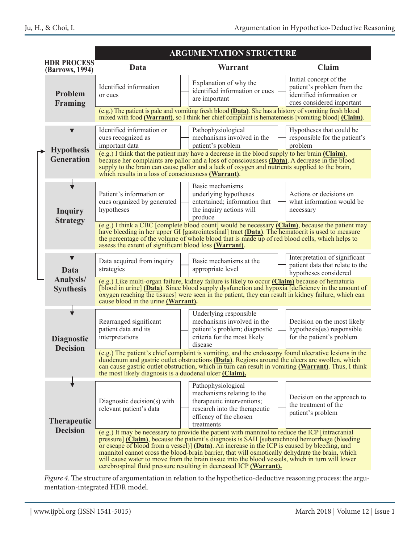|  |                                              | <b>ARGUMENTATION STRUCTURE</b>                                                                                                                                                                                                                                                                                                                                                                                                                                                                                                                                               |                                                                                                                                                                                                                                                                                                                                                              |                                                                                                                |
|--|----------------------------------------------|------------------------------------------------------------------------------------------------------------------------------------------------------------------------------------------------------------------------------------------------------------------------------------------------------------------------------------------------------------------------------------------------------------------------------------------------------------------------------------------------------------------------------------------------------------------------------|--------------------------------------------------------------------------------------------------------------------------------------------------------------------------------------------------------------------------------------------------------------------------------------------------------------------------------------------------------------|----------------------------------------------------------------------------------------------------------------|
|  | <b>HDR PROCESS</b><br><b>(Barrows, 1994)</b> | Data                                                                                                                                                                                                                                                                                                                                                                                                                                                                                                                                                                         | Warrant                                                                                                                                                                                                                                                                                                                                                      | Claim                                                                                                          |
|  | <b>Problem</b><br>Framing                    | Identified information<br>or cues                                                                                                                                                                                                                                                                                                                                                                                                                                                                                                                                            | Explanation of why the<br>identified information or cues<br>are important                                                                                                                                                                                                                                                                                    | Initial concept of the<br>patient's problem from the<br>identified information or<br>cues considered important |
|  |                                              | (e.g.) The patient is pale and vomiting fresh blood (Data). She has a history of vomiting fresh blood<br>mixed with food (Warrant), so I think her chief complaint is hematemesis [vomiting blood] (Claim).                                                                                                                                                                                                                                                                                                                                                                  |                                                                                                                                                                                                                                                                                                                                                              |                                                                                                                |
|  |                                              | Identified information or<br>cues recognized as<br>important data                                                                                                                                                                                                                                                                                                                                                                                                                                                                                                            | Pathophysiological<br>mechanisms involved in the<br>patient's problem                                                                                                                                                                                                                                                                                        | Hypotheses that could be<br>responsible for the patient's<br>problem                                           |
|  | <b>Hypothesis</b><br><b>Generation</b>       |                                                                                                                                                                                                                                                                                                                                                                                                                                                                                                                                                                              | $(e.g.)$ I think that the patient may have a decrease in the blood supply to her brain $(Claim)$ ,<br>because her complaints are pallor and a loss of consciousness (Data). A decrease in the blood<br>supply to the brain can cause pallor and a lack of oxygen and nutrients supplied to the brain,<br>which results in a loss of consciousness (Warrant). |                                                                                                                |
|  | <b>Inquiry</b><br><b>Strategy</b>            | Patient's information or<br>cues organized by generated<br>hypotheses                                                                                                                                                                                                                                                                                                                                                                                                                                                                                                        | Basic mechanisms<br>underlying hypotheses<br>entertained; information that<br>the inquiry actions will<br>produce                                                                                                                                                                                                                                            | Actions or decisions on<br>what information would be<br>necessary                                              |
|  |                                              | assess the extent of significant blood loss (Warrant).                                                                                                                                                                                                                                                                                                                                                                                                                                                                                                                       | $(e.g.)$ I think a CBC [complete blood count] would be necessary (Claim), because the patient may<br>have bleeding in her upper GI [gastrointestinal] tract (Data). The hematocrit is used to measure<br>the percentage of the volume of whole blood that is made up of red blood cells, which helps to                                                      |                                                                                                                |
|  | <b>Data</b>                                  | Data acquired from inquiry<br>strategies                                                                                                                                                                                                                                                                                                                                                                                                                                                                                                                                     | Basic mechanisms at the<br>appropriate level                                                                                                                                                                                                                                                                                                                 | Interpretation of significant<br>patient data that relate to the<br>hypotheses considered                      |
|  | Analysis/<br><b>Synthesis</b>                | (e.g.) Like multi-organ failure, kidney failure is likely to occur (Claim) because of hematuria<br>[blood in urine] <b>(Data)</b> . Since blood supply dysfunction and hypoxia [deficiency in the amount of<br>oxygen reaching the tissues] were seen in the patient, they can result in kidney failure, which can<br>cause blood in the urine (Warrant).                                                                                                                                                                                                                    |                                                                                                                                                                                                                                                                                                                                                              |                                                                                                                |
|  | <b>Diagnostic</b><br><b>Decision</b>         | Rearranged significant<br>patient data and its<br>interpretations                                                                                                                                                                                                                                                                                                                                                                                                                                                                                                            | Underlying responsible<br>mechanisms involved in the<br>patient's problem; diagnostic<br>criteria for the most likely<br>disease                                                                                                                                                                                                                             | Decision on the most likely<br>hypothesis(es) responsible<br>for the patient's problem                         |
|  |                                              | (e.g.) The patient's chief complaint is vomiting, and the endoscopy found ulcerative lesions in the<br>duodenum and gastric outlet obstructions (Data). Regions around the ulcers are swollen, which<br>can cause gastric outlet obstruction, which in turn can result in vomiting (Warrant). Thus, I think<br>the most likely diagnosis is a duodenal ulcer (Claim).                                                                                                                                                                                                        |                                                                                                                                                                                                                                                                                                                                                              |                                                                                                                |
|  | <b>Therapeutic</b><br><b>Decision</b>        | Diagnostic decision(s) with<br>relevant patient's data                                                                                                                                                                                                                                                                                                                                                                                                                                                                                                                       | Pathophysiological<br>mechanisms relating to the<br>therapeutic interventions;<br>research into the therapeutic<br>efficacy of the chosen<br>treatments                                                                                                                                                                                                      | Decision on the approach to<br>the treatment of the<br>patient's problem                                       |
|  |                                              | (e.g.) It may be necessary to provide the patient with mannitol to reduce the ICP [intracranial]<br>pressure] (Claim), because the patient's diagnosis is SAH [subarachnoid hemorrhage (bleeding<br>or escape of blood from a vessel)] (Data). An increase in the ICP is caused by bleeding, and<br>mannitol cannot cross the blood-brain barrier, that will osmotically dehydrate the brain, which<br>will cause water to move from the brain tissue into the blood vessels, which in turn will lower<br>cerebrospinal fluid pressure resulting in decreased ICP (Warrant). |                                                                                                                                                                                                                                                                                                                                                              |                                                                                                                |

Figure 4. The structure of argumentation in relation to the hypothetico-deductive reasoning process: the argu-<br>mentation-integrated HDR model. mentation-integrated HDR model.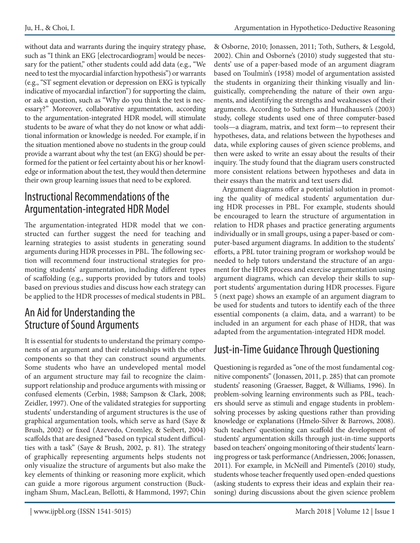without data and warrants during the inquiry strategy phase, such as "I think an EKG [electrocardiogram] would be necessary for the patient," other students could add data (e.g., "We need to test the myocardial infarction hypothesis") or warrants (e.g., "ST segment elevation or depression on EKG is typically indicative of myocardial infarction") for supporting the claim, or ask a question, such as "Why do you think the test is necessary?" Moreover, collaborative argumentation, according to the argumentation-integrated HDR model, will stimulate students to be aware of what they do not know or what additional information or knowledge is needed. For example, if in the situation mentioned above no students in the group could provide a warrant about why the test (an EKG) should be performed for the patient or feel certainty about his or her knowledge or information about the test, they would then determine their own group learning issues that need to be explored.

#### Instructional Recommendations of the Argumentation-integrated HDR Model

The argumentation-integrated HDR model that we constructed can further suggest the need for teaching and learning strategies to assist students in generating sound arguments during HDR processes in PBL. The following section will recommend four instructional strategies for promoting students' argumentation, including different types of scaffolding (e.g., supports provided by tutors and tools) based on previous studies and discuss how each strategy can be applied to the HDR processes of medical students in PBL.

#### An Aid for Understanding the Structure of Sound Arguments

It is essential for students to understand the primary components of an argument and their relationships with the other components so that they can construct sound arguments. Some students who have an undeveloped mental model of an argument structure may fail to recognize the claimsupport relationship and produce arguments with missing or confused elements (Cerbin, 1988; Sampson & Clark, 2008; Zeidler, 1997). One of the validated strategies for supporting students' understanding of argument structures is the use of graphical argumentation tools, which serve as hard (Saye & Brush, 2002) or fixed (Azevedo, Cromley, & Seibert, 2004) scaffolds that are designed "based on typical student difficulties with a task" (Saye & Brush, 2002, p. 81). The strategy of graphically representing arguments helps students not only visualize the structure of arguments but also make the key elements of thinking or reasoning more explicit, which can guide a more rigorous argument construction (Buckingham Shum, MacLean, Bellotti, & Hammond, 1997; Chin

& Osborne, 2010; Jonassen, 2011; Toth, Suthers, & Lesgold, 2002). Chin and Osborne's (2010) study suggested that students' use of a paper-based mode of an argument diagram based on Toulmin's (1958) model of argumentation assisted the students in organizing their thinking visually and linguistically, comprehending the nature of their own arguments, and identifying the strengths and weaknesses of their arguments. According to Suthers and Hundhausen's (2003) study, college students used one of three computer-based tools—a diagram, matrix, and text form—to represent their hypotheses, data, and relations between the hypotheses and data, while exploring causes of given science problems, and then were asked to write an essay about the results of their inquiry. The study found that the diagram users constructed more consistent relations between hypotheses and data in their essays than the matrix and text users did.

Argument diagrams offer a potential solution in promoting the quality of medical students' argumentation during HDR processes in PBL. For example, students should be encouraged to learn the structure of argumentation in relation to HDR phases and practice generating arguments individually or in small groups, using a paper-based or computer-based argument diagrams. In addition to the students' efforts, a PBL tutor training program or workshop would be needed to help tutors understand the structure of an argument for the HDR process and exercise argumentation using argument diagrams, which can develop their skills to support students' argumentation during HDR processes. Figure 5 (next page) shows an example of an argument diagram to be used for students and tutors to identify each of the three essential components (a claim, data, and a warrant) to be included in an argument for each phase of HDR, that was adapted from the argumentation-integrated HDR model.

# Just-in-Time Guidance Through Questioning

Questioning is regarded as "one of the most fundamental cognitive components" (Jonassen, 2011, p. 285) that can promote students' reasoning (Graesser, Bagget, & Williams, 1996). In problem-solving learning environments such as PBL, teachers should serve as stimuli and engage students in problemsolving processes by asking questions rather than providing knowledge or explanations (Hmelo-Silver & Barrows, 2008). Such teachers' questioning can scaffold the development of students' argumentation skills through just-in-time supports based on teachers' ongoing monitoring of their students' learning progress or task performance (Andriessen, 2006; Jonassen, 2011). For example, in McNeill and Pimentel's (2010) study, students whose teacher frequently used open-ended questions (asking students to express their ideas and explain their reasoning) during discussions about the given science problem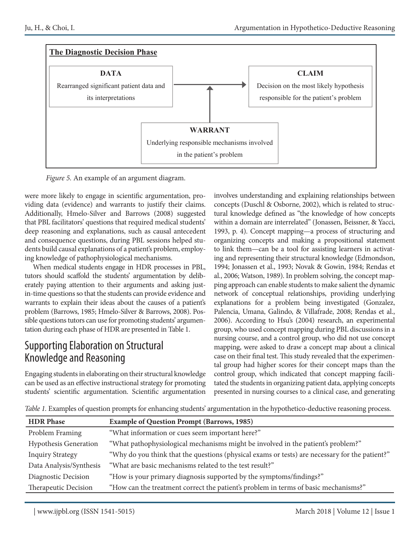

Figure 5. An example of an argument diagram. *Figure 5.* An example of an argument diagram.

were more likely to engage in scientific argumentation, providing data (evidence) and warrants to justify their claims. Additionally, Hmelo-Silver and Barrows (2008) suggested that PBL facilitators' questions that required medical students' deep reasoning and explanations, such as causal antecedent and consequence questions, during PBL sessions helped students build causal explanations of a patient's problem, employing knowledge of pathophysiological mechanisms.

When medical students engage in HDR processes in PBL, tutors should scaffold the students' argumentation by deliberately paying attention to their arguments and asking justin-time questions so that the students can provide evidence and warrants to explain their ideas about the causes of a patient's problem (Barrows, 1985; Hmelo-Silver & Barrows, 2008). Possible questions tutors can use for promoting students' argumentation during each phase of HDR are presented in Table 1.

#### Supporting Elaboration on Structural Knowledge and Reasoning

Engaging students in elaborating on their structural knowledge can be used as an effective instructional strategy for promoting students' scientific argumentation. Scientific argumentation involves understanding and explaining relationships between concepts (Duschl & Osborne, 2002), which is related to structural knowledge defined as "the knowledge of how concepts" within a domain are interrelated" (Jonassen, Beissner, & Yacci, 1993, p. 4). Concept mapping—a process of structuring and organizing concepts and making a propositional statement to link them—can be a tool for assisting learners in activating and representing their structural knowledge (Edmondson, 1994; Jonassen et al., 1993; Novak & Gowin, 1984; Rendas et al., 2006; Watson, 1989). In problem solving, the concept mapping approach can enable students to make salient the dynamic network of conceptual relationships, providing underlying explanations for a problem being investigated (Gonzalez, Palencia, Umana, Galindo, & Villafrade, 2008; Rendas et al., 2006). According to Hsu's (2004) research, an experimental group, who used concept mapping during PBL discussions in a nursing course, and a control group, who did not use concept mapping, were asked to draw a concept map about a clinical case on their final test. This study revealed that the experimental group had higher scores for their concept maps than the control group, which indicated that concept mapping facilitated the students in organizing patient data, applying concepts presented in nursing courses to a clinical case, and generating

*Table 1.* Examples of question prompts for enhancing students' argumentation in the hypothetico-deductive reasoning process.

| <b>HDR Phase</b>             | <b>Example of Question Prompt (Barrows, 1985)</b>                                              |
|------------------------------|------------------------------------------------------------------------------------------------|
| Problem Framing              | "What information or cues seem important here?"                                                |
| <b>Hypothesis Generation</b> | "What pathophysiological mechanisms might be involved in the patient's problem?"               |
| <b>Inquiry Strategy</b>      | "Why do you think that the questions (physical exams or tests) are necessary for the patient?" |
| Data Analysis/Synthesis      | "What are basic mechanisms related to the test result?"                                        |
| Diagnostic Decision          | "How is your primary diagnosis supported by the symptoms/findings?"                            |
| Therapeutic Decision         | "How can the treatment correct the patient's problem in terms of basic mechanisms?"            |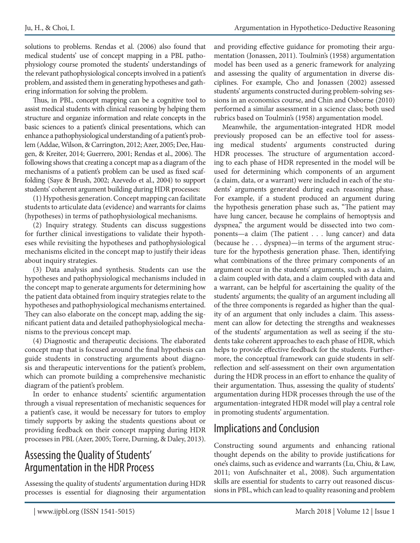solutions to problems. Rendas et al. (2006) also found that medical students' use of concept mapping in a PBL pathophysiology course promoted the students' understandings of the relevant pathophysiological concepts involved in a patient's problem, and assisted them in generating hypotheses and gathering information for solving the problem.

Thus, in PBL, concept mapping can be a cognitive tool to assist medical students with clinical reasoning by helping them structure and organize information and relate concepts in the basic sciences to a patient's clinical presentations, which can enhance a pathophysiological understanding of a patient's problem (Addae, Wilson, & Carrington, 2012; Azer, 2005; Dee, Haugen, & Kreiter, 2014; Guerrero, 2001; Rendas et al., 2006). The following shows that creating a concept map as a diagram of the mechanisms of a patient's problem can be used as fixed scaffolding (Saye & Brush, 2002; Azevedo et al., 2004) to support students' coherent argument building during HDR processes:

(1) Hypothesis generation. Concept mapping can facilitate students to articulate data (evidence) and warrants for claims (hypotheses) in terms of pathophysiological mechanisms.

(2) Inquiry strategy. Students can discuss suggestions for further clinical investigations to validate their hypotheses while revisiting the hypotheses and pathophysiological mechanisms elicited in the concept map to justify their ideas about inquiry strategies.

(3) Data analysis and synthesis. Students can use the hypotheses and pathophysiological mechanisms included in the concept map to generate arguments for determining how the patient data obtained from inquiry strategies relate to the hypotheses and pathophysiological mechanisms entertained. They can also elaborate on the concept map, adding the significant patient data and detailed pathophysiological mechanisms to the previous concept map.

(4) Diagnostic and therapeutic decisions. The elaborated concept map that is focused around the final hypothesis can guide students in constructing arguments about diagnosis and therapeutic interventions for the patient's problem, which can promote building a comprehensive mechanistic diagram of the patient's problem.

In order to enhance students' scientific argumentation through a visual representation of mechanistic sequences for a patient's case, it would be necessary for tutors to employ timely supports by asking the students questions about or providing feedback on their concept mapping during HDR processes in PBL (Azer, 2005; Torre, Durning, & Daley, 2013).

#### Assessing the Quality of Students' Argumentation in the HDR Process

Assessing the quality of students' argumentation during HDR processes is essential for diagnosing their argumentation and providing effective guidance for promoting their argumentation (Jonassen, 2011). Toulmin's (1958) argumentation model has been used as a generic framework for analyzing and assessing the quality of argumentation in diverse disciplines. For example, Cho and Jonassen (2002) assessed students' arguments constructed during problem-solving sessions in an economics course, and Chin and Osborne (2010) performed a similar assessment in a science class; both used rubrics based on Toulmin's (1958) argumentation model.

Meanwhile, the argumentation-integrated HDR model previously proposed can be an effective tool for assessing medical students' arguments constructed during HDR processes. The structure of argumentation according to each phase of HDR represented in the model will be used for determining which components of an argument (a claim, data, or a warrant) were included in each of the students' arguments generated during each reasoning phase. For example, if a student produced an argument during the hypothesis generation phase such as, "The patient may have lung cancer, because he complains of hemoptysis and dyspnea," the argument would be dissected into two components—a claim (The patient . . . lung cancer) and data (because he . . . dyspnea)—in terms of the argument structure for the hypothesis generation phase. Then, identifying what combinations of the three primary components of an argument occur in the students' arguments, such as a claim, a claim coupled with data, and a claim coupled with data and a warrant, can be helpful for ascertaining the quality of the students' arguments; the quality of an argument including all of the three components is regarded as higher than the quality of an argument that only includes a claim. This assessment can allow for detecting the strengths and weaknesses of the students' argumentation as well as seeing if the students take coherent approaches to each phase of HDR, which helps to provide effective feedback for the students. Furthermore, the conceptual framework can guide students in selfreflection and self-assessment on their own argumentation during the HDR process in an effort to enhance the quality of their argumentation. Thus, assessing the quality of students' argumentation during HDR processes through the use of the argumentation-integrated HDR model will play a central role in promoting students' argumentation.

# Implications and Conclusion

Constructing sound arguments and enhancing rational thought depends on the ability to provide justifications for one's claims, such as evidence and warrants (Lu, Chiu, & Law, 2011; von Aufschnaiter et al., 2008). Such argumentation skills are essential for students to carry out reasoned discussions in PBL, which can lead to quality reasoning and problem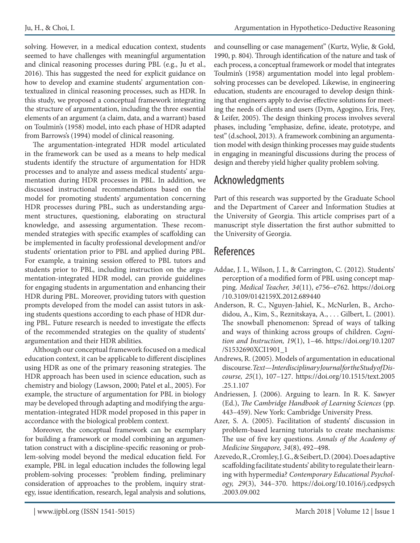solving. However, in a medical education context, students seemed to have challenges with meaningful argumentation and clinical reasoning processes during PBL (e.g., Ju et al., 2016). This has suggested the need for explicit guidance on how to develop and examine students' argumentation contextualized in clinical reasoning processes, such as HDR. In this study, we proposed a conceptual framework integrating the structure of argumentation, including the three essential elements of an argument (a claim, data, and a warrant) based on Toulmin's (1958) model, into each phase of HDR adapted from Barrows's (1994) model of clinical reasoning.

The argumentation-integrated HDR model articulated in the framework can be used as a means to help medical students identify the structure of argumentation for HDR processes and to analyze and assess medical students' argumentation during HDR processes in PBL. In addition, we discussed instructional recommendations based on the model for promoting students' argumentation concerning HDR processes during PBL, such as understanding argument structures, questioning, elaborating on structural knowledge, and assessing argumentation. These recommended strategies with specific examples of scaffolding can be implemented in faculty professional development and/or students' orientation prior to PBL and applied during PBL. For example, a training session offered to PBL tutors and students prior to PBL, including instruction on the argumentation-integrated HDR model, can provide guidelines for engaging students in argumentation and enhancing their HDR during PBL. Moreover, providing tutors with question prompts developed from the model can assist tutors in asking students questions according to each phase of HDR during PBL. Future research is needed to investigate the effects of the recommended strategies on the quality of students' argumentation and their HDR abilities.

Although our conceptual framework focused on a medical education context, it can be applicable to different disciplines using HDR as one of the primary reasoning strategies. The HDR approach has been used in science education, such as chemistry and biology (Lawson, 2000; Patel et al., 2005). For example, the structure of argumentation for PBL in biology may be developed through adapting and modifying the argumentation-integrated HDR model proposed in this paper in accordance with the biological problem context.

Moreover, the conceptual framework can be exemplary for building a framework or model combining an argumentation construct with a discipline-specific reasoning or problem-solving model beyond the medical education field. For example, PBL in legal education includes the following legal problem-solving processes: "problem finding, preliminary consideration of approaches to the problem, inquiry strategy, issue identification, research, legal analysis and solutions,

and counselling or case management" (Kurtz, Wylie, & Gold, 1990, p. 804). Through identification of the nature and task of each process, a conceptual framework or model that integrates Toulmin's (1958) argumentation model into legal problemsolving processes can be developed. Likewise, in engineering education, students are encouraged to develop design thinking that engineers apply to devise effective solutions for meeting the needs of clients and users (Dym, Agogino, Eris, Frey, & Leifer, 2005). The design thinking process involves several phases, including "emphasize, define, ideate, prototype, and test" (d.school, 2013). A framework combining an argumentation model with design thinking processes may guide students in engaging in meaningful discussions during the process of design and thereby yield higher quality problem solving.

#### Acknowledgments

Part of this research was supported by the Graduate School and the Department of Career and Information Studies at the University of Georgia. This article comprises part of a manuscript style dissertation the first author submitted to the University of Georgia.

#### References

- Addae, J. I., Wilson, J. I., & Carrington, C. (2012). Students' perception of a modified form of PBL using concept mapping. *Medical Teacher, 34*(11), e756–e762. https://doi.org /10.3109/0142159X.2012.689440
- Anderson, R. C., Nguyen-Jahiel, K., McNurlen, B., Archodidou, A., Kim, S., Reznitskaya, A., . . . Gilbert, L. (2001). The snowball phenomenon: Spread of ways of talking and ways of thinking across groups of children. *Cognition and Instruction, 19*(1), 1–46. https://doi.org/10.1207 /S1532690XCI1901\_1
- Andrews, R. (2005). Models of argumentation in educational discourse. *Text—Interdisciplinary Journal for the Study of Discourse, 25*(1), 107–127. https://doi.org/10.1515/text.2005 .25.1.107
- Andriessen, J. (2006). Arguing to learn. In R. K. Sawyer (Ed.), *The Cambridge Handbook of Learning Sciences* (pp. 443–459). New York: Cambridge University Press.
- Azer, S. A. (2005). Facilitation of students' discussion in problem-based learning tutorials to create mechanisms: The use of five key questions. *Annals of the Academy of Medicine Singapore, 34*(8), 492–498.
- Azevedo, R., Cromley, J. G., & Seibert, D. (2004). Does adaptive scaffolding facilitate students' ability to regulate their learning with hypermedia? *Contemporary Educational Psychology, 29*(3), 344–370. https://doi.org/10.1016/j.cedpsych .2003.09.002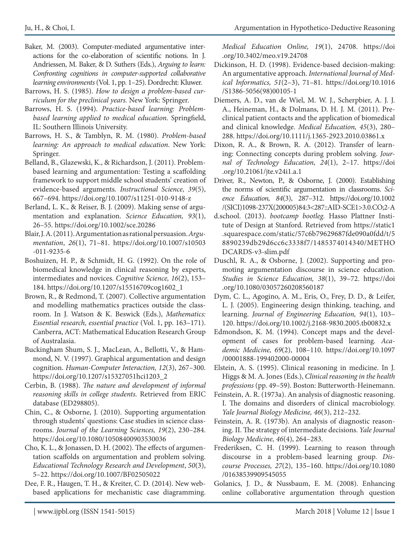- Baker, M. (2003). Computer-mediated argumentative interactions for the co-elaboration of scientific notions. In J. Andriessen, M. Baker, & D. Suthers (Eds.), *Arguing to learn: Confronting cognitions in computer-supported collaborative learning environments* (Vol. 1, pp. 1–25). Dordrecht: Kluwer.
- Barrows, H. S. (1985). *How to design a problem-based curriculum for the preclinical years.* New York: Springer.
- Barrows, H. S. (1994). *Practice-based learning: Problembased learning applied to medical education*. Springfield, IL: Southern Illinois University.
- Barrows, H. S., & Tamblyn, R. M. (1980). *Problem-based learning: An approach to medical education*. New York: Springer.
- Belland, B., Glazewski, K., & Richardson, J. (2011). Problembased learning and argumentation: Testing a scaffolding framework to support middle school students' creation of evidence-based arguments*. Instructional Science, 39*(5), 667–694. https://doi.org/10.1007/s11251-010-9148-z
- Berland, L. K., & Reiser, B. J. (2009). Making sense of argumentation and explanation. *Science Education, 93*(1), 26–55. https://doi.org/10.1002/sce.20286
- Blair, J. A. (2011). Argumentation as rational persuasion. *Argumentation*, *26*(1), 71–81. https://doi.org/10.1007/s10503 -011-9235-6
- Boshuizen, H. P., & Schmidt, H. G. (1992). On the role of biomedical knowledge in clinical reasoning by experts, intermediates and novices. *Cognitive Science, 16*(2), 153– 184. https://doi.org/10.1207/s15516709cog1602\_1
- Brown, R., & Redmond, T. (2007). Collective argumentation and modelling mathematics practices outside the classroom. In J. Watson & K. Beswick (Eds.), *Mathematics: Essential research, essential practice* (Vol. 1, pp. 163–171). Canberra, ACT: Mathematical Education Research Group of Australasia.
- Buckingham Shum, S. J., MacLean, A., Bellotti, V., & Hammond, N. V. (1997). Graphical argumentation and design cognition. *Human-Computer Interaction, 12*(3), 267–300. https://doi.org/10.1207/s15327051hci1203\_2
- Cerbin, B. (1988). *The nature and development of informal reasoning skills in college students.* Retrieved from ERIC database (ED298805).
- Chin, C., & Osborne, J. (2010). Supporting argumentation through students' questions: Case studies in science classrooms. *Journal of the Learning Sciences, 19*(2), 230–284. https://doi.org/10.1080/10508400903530036
- Cho, K. L., & Jonassen, D. H. (2002). The effects of argumentation scaffolds on argumentation and problem solving. *Educational Technology Research and Development*, *50*(3), 5–22. https://doi.org/10.1007/BF02505022
- Dee, F. R., Haugen, T. H., & Kreiter, C. D. (2014). New webbased applications for mechanistic case diagramming.

*Medical Education Online, 19*(1), 24708. https://doi .org/10.3402/meo.v19.24708

- Dickinson, H. D. (1998). Evidence-based decision-making: An argumentative approach. *International Journal of Medical Informatics, 51*(2–3), 71–81. https://doi.org/10.1016 /S1386-5056(98)00105-1
- Diemers, A. D., van de Wiel, M. W. J., Scherpbier, A. J. J. A., Heineman, H., & Dolmans, D. H. J. M. (2011). Preclinical patient contacts and the application of biomedical and clinical knowledge. *Medical Education, 45*(3), 280– 288. https://doi.org/10.1111/j.1365-2923.2010.03861.x
- Dixon, R. A., & Brown, R. A. (2012). Transfer of learning: Connecting concepts during problem solving. *Journal of Technology Education, 24*(1), 2–17. https://doi .org/10.21061/jte.v24i1.a.1
- Driver, R., Newton, P., & Osborne, J. (2000). Establishing the norms of scientific argumentation in classrooms. *Science Education, 84*(3), 287–312. https://doi.org/10.1002 /(SICI)1098-237X(200005)84:3<287::AID-SCE1>3.0.CO;2-A
- d.school. (2013). *bootcamp bootleg.* Hasso Plattner Institute of Design at Stanford*.* Retrieved from https://static1 .squarespace.com/static/57c6b79629687fde090a0fdd/t/5 8890239db29d6cc6c3338f7/1485374014340/METHO DCARDS-v3-slim.pdf
- Duschl, R. A., & Osborne, J. (2002). Supporting and promoting argumentation discourse in science education. *Studies in Science Education, 38*(1), 39–72. https://doi .org/10.1080/03057260208560187
- Dym, C. L., Agogino, A. M., Eris, O., Frey, D. D., & Leifer, L. J. (2005). Engineering design thinking, teaching, and learning. *Journal of Engineering Education, 94*(1), 103– 120. https://doi.org/10.1002/j.2168-9830.2005.tb00832.x
- Edmondson, K. M. (1994). Concept maps and the development of cases for problem-based learning. *Academic Medicine, 69*(2), 108–110. https://doi.org/10.1097 /00001888-199402000-00004
- Elstein, A. S. (1995). Clinical reasoning in medicine. In J. Higgs & M. A. Jones (Eds.), *Clinical reasoning in the health professions* (pp. 49–59). Boston: Butterworth-Heinemann.
- Feinstein, A. R. (1973a). An analysis of diagnostic reasoning. I. The domains and disorders of clinical macrobiology. *Yale Journal Biology Medicine, 46*(3), 212–232.
- Feinstein, A. R. (1973b). An analysis of diagnostic reasoning. II. The strategy of intermediate decisions. *Yale Journal Biology Medicine, 46*(4), 264–283.
- Frederiksen, C. H. (1999). Learning to reason through discourse in a problem‐based learning group. *Discourse Processes, 27*(2), 135–160. https://doi.org/10.1080 /01638539909545055
- Golanics, J. D., & Nussbaum, E. M. (2008). Enhancing online collaborative argumentation through question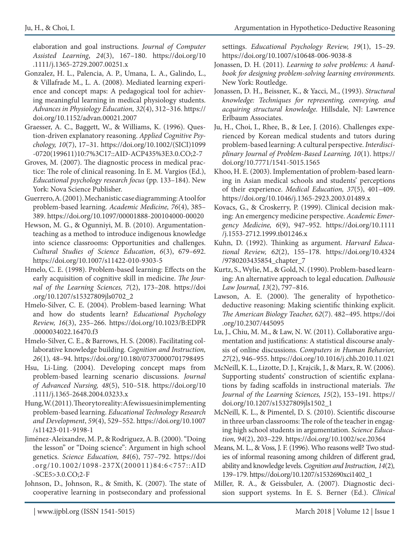elaboration and goal instructions. *Journal of Computer Assisted Learning*, *24*(3), 167–180. https://doi.org/10 .1111/j.1365-2729.2007.00251.x

- Gonzalez, H. L., Palencia, A. P., Umana, L. A., Galindo, L., & Villafrade M., L. A. (2008). Mediated learning experience and concept maps: A pedagogical tool for achieving meaningful learning in medical physiology students. *Advances in Physiology Education, 32*(4), 312–316. https:// doi.org/10.1152/advan.00021.2007
- Graesser, A. C., Baggett, W., & Williams, K. (1996). Question-driven explanatory reasoning. *Applied Cognitive Psychology, 10*(7), 17–31. https://doi.org/10.1002/(SICI)1099 -0720(199611)10:7%3C17::AID-ACP435%3E3.0.CO;2-7
- Groves, M. (2007). The diagnostic process in medical practice: The role of clinical reasoning. In E. M. Vargios (Ed.), *Educational psychology research focus* (pp. 133–184). New York: Nova Science Publisher.
- Guerrero, A. (2001). Mechanistic case diagramming: A tool for problem-based learning. *Academic Medicine, 76*(4), 385– 389. https://doi.org/10.1097/00001888-200104000-00020
- Hewson, M. G., & Ogunniyi, M. B. (2010). Argumentationteaching as a method to introduce indigenous knowledge into science classrooms: Opportunities and challenges. *Cultural Studies of Science Education*, *6*(3), 679–692. https://doi.org/10.1007/s11422-010-9303-5
- Hmelo, C. E. (1998). Problem-based learning: Effects on the early acquisition of cognitive skill in medicine. *The Journal of the Learning Sciences, 7*(2), 173–208. https://doi .org/10.1207/s15327809jls0702\_2
- Hmelo-Silver, C. E. (2004). Problem-based learning: What and how do students learn? *Educational Psychology Review, 16*(3), 235–266. https://doi.org/10.1023/B:EDPR .0000034022.16470.f3
- Hmelo-Silver, C. E., & Barrows, H. S. (2008). Facilitating collaborative knowledge building. *Cognition and Instruction, 26*(1)*,* 48–94. https://doi.org/10.180/07370000701798495
- Hsu, Li-Ling. (2004). Developing concept maps from problem-based learning scenario discussions. *Journal of Advanced Nursing, 48*(5), 510–518. https://doi.org/10 .1111/j.1365-2648.2004.03233.x
- Hung, W. (2011). Theory to reality: A few issues in implementing problem-based learning. *Educational Technology Research and Development*, *59*(4), 529–552. https://doi.org/10.1007 /s11423-011-9198-1
- Jiménez-Aleixandre, M. P., & Rodriguez, A. B. (2000). "Doing the lesson" or "Doing science": Argument in high school genetics. *Science Education, 84*(6), 757–792. https://doi .org/10.1002/1098-237X(200011)84:6<757::AID -SCE5>3.0.CO;2-F
- Johnson, D., Johnson, R., & Smith, K. (2007). The state of cooperative learning in postsecondary and professional

settings. *Educational Psychology Review, 19*(1), 15–29. https://doi.org/10.1007/s10648-006-9038-8

- Jonassen, D. H. (2011). *Learning to solve problems: A handbook for designing problem-solving learning environments.* New York: Routledge.
- Jonassen, D. H., Beissner, K., & Yacci, M., (1993). *Structural knowledge: Techniques for representing, conveying, and acquiring structural knowledge.* Hillsdale, NJ: Lawrence Erlbaum Associates.
- Ju, H., Choi, I., Rhee, B., & Lee, J. (2016). Challenges experienced by Korean medical students and tutors during problem-based learning: A cultural perspective. *Interdisciplinary Journal of Problem-Based Learning, 10*(1). https:// doi.org/10.7771/1541-5015.1565
- Khoo, H. E. (2003). Implementation of problem-based learning in Asian medical schools and students' perceptions of their experience. *Medical Education, 37*(5), 401–409. https://doi.org/10.1046/j.1365-2923.2003.01489.x
- Kovacs, G., & Croskerry, P. (1999). Clinical decision making: An emergency medicine perspective. *Academic Emergency Medicine, 6*(9), 947–952. https://doi.org/10.1111 /j.1553-2712.1999.tb01246.x
- Kuhn, D. (1992). Thinking as argument. *Harvard Educational Review, 62*(2), 155–178. https://doi.org/10.4324 /9780203435854\_chapter\_7
- Kurtz, S., Wylie, M., & Gold, N. (1990). Problem-based learning: An alternative approach to legal education. *Dalhousie Law Journal, 13*(2), 797–816.
- Lawson, A. E. (2000). The generality of hypotheticodeductive reasoning: Making scientific thinking explicit. *The American Biology Teacher, 62*(7). 482–495. https://doi .org/10.2307/445095
- Lu, J., Chiu, M. M., & Law, N. W. (2011). Collaborative argumentation and justifications: A statistical discourse analysis of online discussions. *Computers in Human Behavior, 27*(2), 946–955. https://doi.org/10.1016/j.chb.2010.11.021
- McNeill, K. L., Lizotte, D. J., Krajcik, J., & Marx, R. W. (2006). Supporting students' construction of scientific explanations by fading scaffolds in instructional materials. *The Journal of the Learning Sciences, 15*(2), 153–191. https:// doi.org/10.1207/s15327809jls1502\_1
- McNeill, K. L., & Pimentel, D. S. (2010). Scientific discourse in three urban classrooms: The role of the teacher in engaging high school students in argumentation. *Science Education, 94*(2), 203–229. https://doi.org/10.1002/sce.20364
- Means, M. L., & Voss, J. F. (1996). Who reasons well? Two studies of informal reasoning among children of different grad, ability and knowledge levels. *Cognition and Instruction, 14*(2)*,*  139–179. https://doi.org/10.1207/s1532690xci1402\_1
- Miller, R. A., & Geissbuler, A. (2007). Diagnostic decision support systems. In E. S. Berner (Ed.). *Clinical*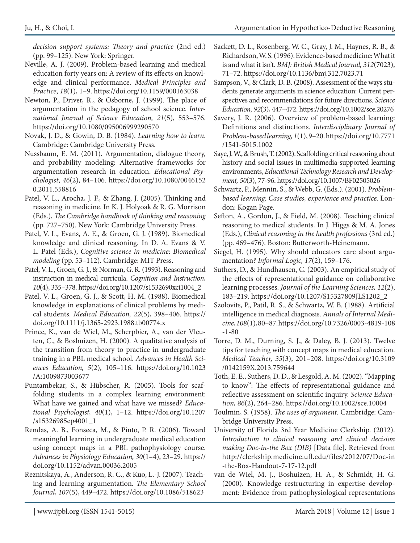*decision support systems: Theory and practice* (2nd ed.) (pp. 99–125). New York: Springer.

- Neville, A. J. (2009). Problem-based learning and medical education forty years on: A review of its effects on knowledge and clinical performance. *Medical Principles and Practice*, *18*(1), 1–9. https://doi.org/10.1159/000163038
- Newton, P., Driver, R., & Osborne, J. (1999). The place of argumentation in the pedagogy of school science. *International Journal of Science Education, 21*(5), 553–576. https://doi.org/10.1080/095006999290570
- Novak, J. D., & Gowin, D. B. (1984). *Learning how to learn*. Cambridge: Cambridge University Press.
- Nussbaum, E. M. (2011). Argumentation, dialogue theory, and probability modeling: Alternative frameworks for argumentation research in education. *Educational Psychologist*, *46*(2), 84–106. https://doi.org/10.1080/0046152 0.2011.558816
- Patel, V. L., Arocha, J. F., & Zhang, J. (2005). Thinking and reasoning in medicine. In K. J. Holyoak & R. G. Morrison (Eds.), *The Cambridge handbook of thinking and reasoning* (pp. 727–750). New York: Cambridge University Press.
- Patel, V. L., Evans, A. E., & Groen, G. J. (1989). Biomedical knowledge and clinical reasoning. In D. A. Evans & V. L. Patel (Eds.), *Cognitive science in medicine: Biomedical modeling* (pp. 53–112). Cambridge: MIT Press.
- Patel, V. L., Groen, G. J., & Norman, G. R. (1993). Reasoning and instruction in medical curricula. *Cognition and Instruction, 10*(4), 335–378. https://doi.org/10.1207/s1532690xci1004\_2
- Patel, V. L., Groen, G. J., & Scott, H. M. (1988). Biomedical knowledge in explanations of clinical problems by medical students. *Medical Education, 22*(5), 398–406. https:// doi.org/10.1111/j.1365-2923.1988.tb00774.x
- Prince, K., van de Wiel, M., Scherpbier, A., van der Vleuten, C., & Boshuizen, H. (2000). A qualitative analysis of the transition from theory to practice in undergraduate training in a PBL medical school. *Advances in Health Sciences Education, 5*(2), 105–116. https://doi.org/10.1023 /A:1009873003677
- Puntambekar, S., & Hübscher, R. (2005). Tools for scaffolding students in a complex learning environment: What have we gained and what have we missed? *Educational Psychologist, 40*(1), 1–12. https://doi.org/10.1207 /s15326985ep4001\_1
- Rendas, A. B., Fonseca, M., & Pinto, P. R. (2006). Toward meaningful learning in undergraduate medical education using concept maps in a PBL pathophysiology course. *Advances in Physiology Education, 30*(1–4), 23–29. https:// doi.org/10.1152/advan.00036.2005
- Reznitskaya, A., Anderson, R. C., & Kuo, L.-J. (2007). Teaching and learning argumentation. *The Elementary School Journal*, *107*(5), 449–472. https://doi.org/10.1086/518623
- Sackett, D. L., Rosenberg, W. C., Gray, J. M., Haynes, R. B., & Richardson, W. S. (1996). Evidence-based medicine: What it is and what it isn't. *BMJ: British Medical Journal, 312*(7023), 71–72. https://doi.org/10.1136/bmj.312.7023.71
- Sampson, V., & Clark, D. B. (2008). Assessment of the ways students generate arguments in science education: Current perspectives and recommendations for future directions. *Science Education, 92*(3), 447–472. https://doi.org/10.1002/sce.20276
- Savery, J. R. (2006). Overview of problem-based learning: Definitions and distinctions. *Interdisciplinary Journal of Problem-based learning, 1*(1), 9–20. https://doi.org/10.7771 /1541-5015.1002
- Saye, J. W., & Brush, T. (2002). Scaffolding critical reasoning about history and social issues in multimedia-supported learning environments, *Educational Technology Research and Development, 50*(3), 77-96. https://doi.org/10.1007/BF02505026
- Schwartz, P., Mennin, S., & Webb, G. (Eds.). (2001). *Problembased learning: Case studies, experience and practice.* London: Kogan Page.
- Sefton, A., Gordon, J., & Field, M. (2008). Teaching clinical reasoning to medical students. In J. Higgs & M. A. Jones (Eds.), *Clinical reasoning in the health professions* (3rd ed.) (pp. 469–476). Boston: Butterworth-Heinemann.
- Siegel, H. (1995). Why should educators care about argumentation? *Informal Logic, 17*(2), 159–176.
- Suthers, D., & Hundhausen, C. (2003). An empirical study of the effects of representational guidance on collaborative learning processes. *Journal of the Learning Sciences, 12*(2), 183–219. https://doi.org/10.1207/S15327809JLS1202\_2
- Szolovits, P., Patil, R. S., & Schwartz, W. B. (1988). Artificial intelligence in medical diagnosis. *Annals of Internal Medicine, 108*(1), 80–87. https://doi.org/10.7326/0003-4819-108 -1-80
- Torre, D. M., Durning, S. J., & Daley, B. J. (2013). Twelve tips for teaching with concept maps in medical education. *Medical Teacher, 35*(3), 201–208. https://doi.org/10.3109 /0142159X.2013.759644
- Toth, E. E., Suthers, D. D., & Lesgold, A. M. (2002). "Mapping to know": The effects of representational guidance and reflective assessment on scientific inquiry. *Science Education, 86*(2), 264–286. https://doi.org/10.1002/sce.10004
- Toulmin, S. (1958). *The uses of argument.* Cambridge: Cambridge University Press.
- University of Florida 3rd Year Medicine Clerkship. (2012). *Introduction to clinical reasoning and clinical decision making Doc-in-the Box (DIB)* [Data file]. Retrieved from http://clerkship.medicine.ufl.edu/files/2012/07/Doc-in -the-Box-Handout-7-17-12.pdf
- van de Wiel, M. J., Boshuizen, H. A., & Schmidt, H. G. (2000). Knowledge restructuring in expertise development: Evidence from pathophysiological representations